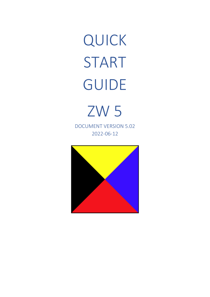<span id="page-0-0"></span>QUICK START GUIDE

<span id="page-0-1"></span>ZW 5 DOCUMENT VERSION 5.02 2022-06-12

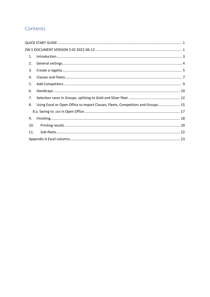## Contents

| 1.  |                                                                                  |
|-----|----------------------------------------------------------------------------------|
| 2.  |                                                                                  |
| 3.  |                                                                                  |
| 4.  |                                                                                  |
| 5.  |                                                                                  |
| 6.  |                                                                                  |
| 7.  |                                                                                  |
| 8.  | Using Excel or Open Office to import Classes, Fleets, Competitors and Groups  15 |
|     |                                                                                  |
| 9.  |                                                                                  |
| 10. |                                                                                  |
| 11. |                                                                                  |
|     |                                                                                  |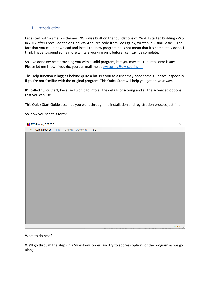## <span id="page-2-0"></span>1. Introduction

Let's start with a small disclaimer. ZW 5 was built on the foundations of ZW 4. I started building ZW 5 in 2017 after I received the original ZW 4 source code from Leo Eggink, written in Visual Basic 6. The fact that you could download and install the new program does not mean that it's completely done. I think I have to spend some more winters working on it before I can say it's complete.

So, I've done my best providing you with a solid program, but you may still run into some issues. Please let me know if you do, you can mail me at **zwscoring@zw-scoring.nl** 

The Help function is lagging behind quite a bit. But you as a user may need some guidance, especially if you're not familiar with the original program. This Quick Start will help you get on your way.

It's called Quick Start, because I won't go into all the details of scoring and all the advanced options that you can use.

This Quick Start Guide assumes you went through the installation and registration process just fine.

#### So, now you see this form:

| X ZW-Scoring 5.03.00.01 |  |                               |  |  | $\Box$ | $\times$                       |
|-------------------------|--|-------------------------------|--|--|--------|--------------------------------|
| File Administration     |  | Finish Listings Advanced Help |  |  |        |                                |
|                         |  |                               |  |  |        |                                |
|                         |  |                               |  |  |        |                                |
|                         |  |                               |  |  |        |                                |
|                         |  |                               |  |  |        |                                |
|                         |  |                               |  |  |        |                                |
|                         |  |                               |  |  |        |                                |
|                         |  |                               |  |  |        |                                |
|                         |  |                               |  |  |        |                                |
|                         |  |                               |  |  |        |                                |
|                         |  |                               |  |  |        |                                |
|                         |  |                               |  |  |        |                                |
|                         |  |                               |  |  |        |                                |
|                         |  |                               |  |  |        |                                |
|                         |  |                               |  |  |        |                                |
|                         |  |                               |  |  |        |                                |
|                         |  |                               |  |  |        |                                |
|                         |  |                               |  |  |        |                                |
|                         |  |                               |  |  |        | Online $\overline{\mathbf{r}}$ |

What to do next?

We'll go through the steps in a 'workflow' order, and try to address options of the program as we go along.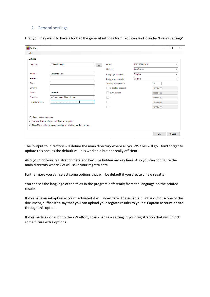## <span id="page-3-0"></span>2. General settings

| Settings                |                         |                            |                     |               |            |              |
|-------------------------|-------------------------|----------------------------|---------------------|---------------|------------|--------------|
| Output to               | D:\ZW-Scoring\          | $\mathcal{L}_{\text{max}}$ | <b>Rules</b>        | RRS 2021-2024 |            | $\checkmark$ |
|                         |                         |                            | Scoring             | Low Points    |            | $\checkmark$ |
| Name*:                  | <b>Gerhard Bouma</b>    |                            | Language of menus   | English       |            | $\checkmark$ |
| Address:                |                         |                            | Language on results | English       |            | $\checkmark$ |
| City:                   |                         |                            | Max number of races |               | 15         |              |
| Country:                |                         |                            | e-Captain account   |               | 2022-04-30 |              |
| Club *:                 | Gerhard                 |                            | $\vee$ ZW Sponsor   |               | 2099-04-30 |              |
| E-mail*:                | gerhard.bouma@gmail.com |                            | <b>The</b>          |               | 2022-04-30 |              |
| <b>Registration key</b> |                         |                            | - 14                |               | 2022-06-11 |              |
|                         |                         |                            | $\sim$ 1 $\times$   |               | 2022-04-30 |              |

First you may want to have a look at the general settings form. You can find it under 'File'->'Settings'

The 'output to' directory will define the main directory where all you ZW files will go. Don't forget to update this one, as the default value is workable but not really efficient.

Also you find your registration data and key. I've hidden my key here. Also you can configure the main directory where ZW will save your regatta data.

Furthermore you can select some options that will be default if you create a new regatta.

You can set the language of the texts in the program differently from the language on the printed results.

If you have an e-Captain account activated it will show here. The e-Captain link is out of scope of this document, suffice it to say that you can upload your regatta results to your e-Captain account or site through this option.

If you made a donation to the ZW effort, I can change a setting in your registration that will unlock some future extra options.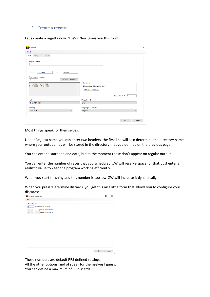#### <span id="page-4-0"></span>3. Create a regatta

Let's create a regatta now: 'File'->'New' gives you this form

|                                                               |                                                  |                         | $\times$ |
|---------------------------------------------------------------|--------------------------------------------------|-------------------------|----------|
| Help                                                          |                                                  |                         |          |
| Main<br>Advanced Headers                                      |                                                  |                         |          |
| Regatta name                                                  |                                                  |                         |          |
| 12-6-2022<br>12-6-2022<br>To:<br>From:                        |                                                  |                         |          |
| Max number of races<br>Determine discards<br>15               | dnc scoring                                      |                         |          |
| 1 - 1 races. -- > 0 discards<br>2 - 15 races. -- > 1 discards | Standard (identical to dns)<br>Rule A5.3 applies |                         |          |
| $\checkmark$                                                  |                                                  | TLE points (1, 2)<br>h. |          |
| <b>Rules</b>                                                  | Default result                                   |                         |          |
| RRS 2021-2024<br>$\vee$                                       | dns                                              | $\checkmark$            |          |
| Scoring                                                       | Language on results                              |                         |          |
| <b>Low Points</b><br>$\checkmark$                             | English                                          | $\checkmark$            |          |
|                                                               |                                                  | OK<br>Cancel            |          |

Most things speak for themselves.

Under Regatta name you can enter two headers, the first line will also determine the directory name where your output files will be stored in the directory that you defined on the previous page.

You can enter a start and end date, but at the moment those don't appear on regular output.

You can enter the number of races that you scheduled, ZW will reserve space for that. Just enter a realistic value to keep the program working efficiently.

When you start finishing and this number is too low, ZW will increase it dynamically.

When you press 'Determine discards' you get this nice little form that allows you to configure your discards:

| Determine discards                                                                                                                       |    | □      | $\times$ |
|------------------------------------------------------------------------------------------------------------------------------------------|----|--------|----------|
| Help                                                                                                                                     |    |        |          |
| Modify discard<br>П<br>Max number of discards<br>races, -- > 0 discards<br>٠<br>n<br>races, -- > 1 discards<br>15<br>$\overline{2}$<br>٠ |    |        |          |
|                                                                                                                                          |    |        |          |
|                                                                                                                                          | OK | Cancel |          |

These numbers are default RRS defined settings.

All the other options kind of speak for themselves I guess. You can define a maximum of 60 discards.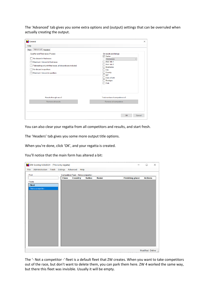The 'Advanced' tab gives you some extra options and (output) settings that can be overruled when actually creating the output.

| General                                                                                                                                                                                                                                                           | $\times$                                                                                                                                                                               |
|-------------------------------------------------------------------------------------------------------------------------------------------------------------------------------------------------------------------------------------------------------------------|----------------------------------------------------------------------------------------------------------------------------------------------------------------------------------------|
| Help                                                                                                                                                                                                                                                              |                                                                                                                                                                                        |
| Advanced Headers<br>Main<br>Qualifier and Final races (Poules)<br>No discard in final races.<br>Maximum 1 discard in final races.<br>Tiebreaking only with final races, all discards are included.<br>No discard in qualifiers<br>Maximum 1 discard in qualifiers | On results and listings<br><b>V</b> Sailno<br><b>Helmsman</b><br>$\checkmark$<br>Add. Info 1<br>Add. Info 2<br>Boatname<br>City<br>Country<br>M/F<br>Date of birth<br>Boattype<br>Club |
| Results through race 0<br>Remove all results                                                                                                                                                                                                                      | Total number of competitors is 0<br>Remove all competitors<br>OK<br>Cancel                                                                                                             |

You can also clear your regatta from all competitors and results, and start fresh.

The 'Headers' tab gives you some more output title options.

When you're done, click 'OK', and your regatta is created.

You'll notice that the main form has altered a bit:

| X ZW-Scoring 5.03.00.01 - [This is my regatta] |              |                                         |               |             |                        | $\Box$                 | $\times$ |
|------------------------------------------------|--------------|-----------------------------------------|---------------|-------------|------------------------|------------------------|----------|
| Administration<br>Finish<br>File               |              | Listings Advanced Help                  |               |             |                        |                        |          |
| Find                                           |              | Competitors Fleet: - Not a competitor - |               |             |                        |                        |          |
|                                                | <b>Class</b> | <b>Country</b>                          | <b>Sailno</b> | <b>Name</b> | <b>Finishing place</b> | <b>Actions</b>         |          |
| Fleets                                         |              |                                         |               |             |                        |                        |          |
| Fleet                                          |              |                                         |               |             |                        |                        |          |
| - Not a competitor -                           |              |                                         |               |             |                        |                        |          |
|                                                |              |                                         |               |             |                        |                        |          |
|                                                |              |                                         |               |             |                        |                        |          |
|                                                |              |                                         |               |             |                        |                        |          |
|                                                |              |                                         |               |             |                        |                        |          |
|                                                |              |                                         |               |             |                        |                        |          |
|                                                |              |                                         |               |             |                        |                        |          |
|                                                |              |                                         |               |             |                        |                        |          |
|                                                |              |                                         |               |             |                        |                        |          |
|                                                |              |                                         |               |             |                        |                        |          |
|                                                |              |                                         |               |             |                        |                        |          |
|                                                |              |                                         |               |             |                        |                        |          |
|                                                |              |                                         |               |             |                        |                        |          |
|                                                |              |                                         |               |             |                        |                        |          |
|                                                |              |                                         |               |             |                        |                        |          |
|                                                |              |                                         |               |             |                        | Modified Online $\lim$ |          |

The '- Not a competitor -' fleet is a default fleet that ZW creates. When you want to take competitors out of the race, but don't want to delete them, you can park them here. ZW 4 worked the same way, but there this fleet was invisible. Usually it will be empty.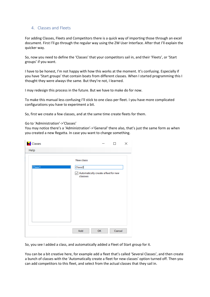## <span id="page-6-0"></span>4. Classes and Fleets

For adding Classes, Fleets and Competitors there is a quick way of importing those through an excel document. First I'll go through the regular way using the ZW User Interface. After that I'll explain the quicker way.

So, now you need to define the 'Classes' that your competitors sail in, and their 'Fleets', or 'Start groups' if you want.

I have to be honest, I'm not happy with how this works at the moment. It's confusing. Especially if you have 'Start groups' that contain boats from different classes. When I started programming this I thought they were always the same. But they're not, I learned.

I may redesign this process in the future. But we have to make do for now.

To make this manual less confusing I'll stick to one class per fleet. I you have more complicated configurations you have to experiment a bit.

So, first we create a few classes, and at the same time create fleets for them.

#### Go to 'Administration'->'Classes'

You may notice there's a 'Administration'->'General' there also, that's just the same form as when you created a new Regatta. In case you want to change something.

| Classes |                                                                                |    | П      | X |
|---------|--------------------------------------------------------------------------------|----|--------|---|
| Help    |                                                                                |    |        |   |
|         | New class                                                                      |    |        |   |
| Class1  | Class2<br>$\sqrt{\phantom{a}}$ Automatically create a fleet for new<br>classes |    |        |   |
|         | Add                                                                            | OK | Cancel |   |

So, you see I added a class, and automatically added a Fleet of Start group for it.

You can be a bit creative here, for example add a fleet that's called 'Several Classes', and then create a bunch of classes with the 'Automatically create a fleet for new classes' option turned off. Then you can add competitors to this fleet, and select from the actual classes that they sail in.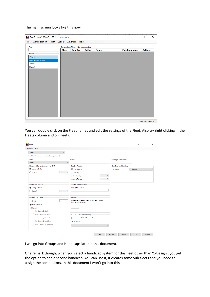#### The main screen looks like this now

| ZW-Scoring 5.03.00.01 - [This is my regatta]<br>Administration<br>Finish<br>File | Listings Advanced | Help                                   |               |             |                        | $\Box$          | $\times$ |
|----------------------------------------------------------------------------------|-------------------|----------------------------------------|---------------|-------------|------------------------|-----------------|----------|
| Find                                                                             |                   | Competitors Fleet - Not a competitor - |               |             |                        |                 |          |
|                                                                                  | <b>Class</b>      | <b>Country</b>                         | <b>Sailno</b> | <b>Name</b> | <b>Finishing place</b> | <b>Actions</b>  |          |
| Fleets                                                                           |                   |                                        |               |             |                        |                 |          |
| Fleet                                                                            |                   |                                        |               |             |                        |                 |          |
| - Not a competitor -                                                             |                   |                                        |               |             |                        |                 |          |
| Class1<br>Class2                                                                 |                   |                                        |               |             |                        |                 |          |
|                                                                                  |                   |                                        |               |             |                        |                 |          |
|                                                                                  |                   |                                        |               |             |                        |                 |          |
|                                                                                  |                   |                                        |               |             |                        |                 |          |
|                                                                                  |                   |                                        |               |             |                        |                 |          |
|                                                                                  |                   |                                        |               |             |                        |                 |          |
|                                                                                  |                   |                                        |               |             |                        |                 |          |
|                                                                                  |                   |                                        |               |             |                        |                 |          |
|                                                                                  |                   |                                        |               |             |                        |                 |          |
|                                                                                  |                   |                                        |               |             |                        |                 |          |
|                                                                                  |                   |                                        |               |             |                        |                 |          |
|                                                                                  |                   |                                        |               |             |                        |                 |          |
|                                                                                  |                   |                                        |               |             |                        |                 |          |
|                                                                                  |                   |                                        |               |             |                        |                 |          |
|                                                                                  |                   |                                        |               |             |                        |                 |          |
|                                                                                  |                   |                                        |               |             |                        | Modified Online |          |

You can double click on the Fleet names and edit the settings of the Fleet. Also try right clicking in the Fleets column and on Fleets.

| Fleets                                           |                                                                                |              |                         |          |    | п      | $\times$     |
|--------------------------------------------------|--------------------------------------------------------------------------------|--------------|-------------------------|----------|----|--------|--------------|
| Help<br>Classes                                  |                                                                                |              |                         |          |    |        |              |
| Class1                                           | $\checkmark$                                                                   |              |                         |          |    |        |              |
| Fleet 1 of 2 - Number of enlisted competitors: 0 |                                                                                |              |                         |          |    |        |              |
| <b>Class</b>                                     | Group                                                                          |              | Startflag / Startnumber |          |    |        |              |
| Class1                                           | $\checkmark$                                                                   |              |                         |          |    |        |              |
| Number of Competitors used for DNF               | <b>Scoring Penalty</b>                                                         |              | One-Design / Handicap   |          |    |        |              |
| <b>O</b> Using defaults                          | <sup>O</sup> Penalty 20%                                                       |              | Handicap                | 1-Design |    |        | $\checkmark$ |
| $\bigcirc$ Specify                               | $\mathbf{0}$<br>$\bigcirc$ Specify                                             |              |                         |          |    |        |              |
|                                                  | Z-flag Penalty                                                                 |              | $\mathbf{0}$            |          |    |        |              |
|                                                  | <b>Scoring Penalty</b>                                                         |              | $\bf{0}$                |          |    |        |              |
| Number of discards                               | Non discardable races                                                          |              |                         |          |    |        |              |
| <b>O</b> Using defaults                          | Example: 10 11 12                                                              |              |                         |          |    |        |              |
| $\bigcirc$ Specify                               | $\mathbf{0}$                                                                   |              |                         |          |    |        |              |
| Qualifier and Finals                             | First as                                                                       |              |                         |          |    |        |              |
| <b>First Final</b>                               | In the overall results, the first competitor of this<br>fleet will be shown as |              |                         |          |    |        |              |
| <b>O</b> Using defaults                          |                                                                                |              |                         |          |    |        |              |
| ◯ Specify                                        | $\mathbf{1}$                                                                   |              |                         |          |    |        |              |
| No discard in finals                             |                                                                                |              |                         |          |    |        |              |
| Max 1 discard in finals                          | <b>ISAF XRR Regatta reporting</b>                                              |              |                         |          |    |        |              |
| Tiebreaking with finals                          | Include in ISAF XRR export                                                     |              |                         |          |    |        |              |
| No discard in qualifiers                         | <b>XRR</b> Gender:                                                             |              |                         |          |    |        |              |
| Max 1 discard in qualifiers                      |                                                                                | $\checkmark$ |                         |          |    |        |              |
|                                                  |                                                                                |              |                         |          |    |        |              |
|                                                  |                                                                                | New          | Delete<br>Apply         |          | OK | Cancel |              |
|                                                  |                                                                                |              |                         |          |    |        |              |

I will go into Groups and Handicaps later in this document.

One remark though, when you select a handicap system for this fleet other than '1-Design', you get the option to add a second handicap. You can use it, it creates some Sub-fleets and you need to assign the competitors. In this document I won't go into this.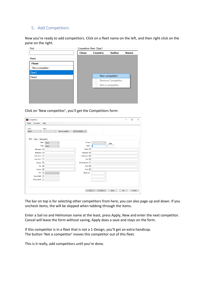## <span id="page-8-0"></span>5. Add Competitors

Now you're ready to add competitors. Click on a fleet name on the left, and then right click on the pane on the right.

| Find                 |       | Competitors Fleet: Class1 |                          |             |  |  |  |
|----------------------|-------|---------------------------|--------------------------|-------------|--|--|--|
|                      | Class | Country                   | <b>Sailno</b>            | <b>Name</b> |  |  |  |
| <b>Fleets</b>        |       |                           |                          |             |  |  |  |
| <b>Fleet</b>         |       |                           |                          |             |  |  |  |
| - Not a competitor - |       |                           |                          |             |  |  |  |
| Class <sub>1</sub>   |       |                           |                          |             |  |  |  |
| Class <sub>2</sub>   |       |                           | New competitor           |             |  |  |  |
|                      |       |                           | <b>Remove Competitor</b> |             |  |  |  |
|                      |       |                           | Not a competitor         |             |  |  |  |
|                      |       |                           |                          |             |  |  |  |
|                      |       |                           |                          |             |  |  |  |
|                      |       |                           |                          |             |  |  |  |
|                      |       |                           |                          |             |  |  |  |

Click on 'New competitor', you'll get the Competitors form:

| Competitors                 |                                        |                  |                         |                        |    | $\Box$ | $\times$ |
|-----------------------------|----------------------------------------|------------------|-------------------------|------------------------|----|--------|----------|
| Fleets Countries Help       |                                        |                  |                         |                        |    |        |          |
| Class<br>Class <sub>1</sub> | Sailno<br>$\checkmark$<br>$\checkmark$ | Not a competitor | <b>Print Competitor</b> |                        |    |        |          |
| Basic<br>Crew               | Actionpoints                           |                  |                         |                        |    |        |          |
|                             | Class<br>Class <sub>1</sub>            | $\checkmark$     | Country                 | $\checkmark$<br>Suffix |    |        |          |
|                             | <b>Fleet</b><br>Class <sub>1</sub>     | $\checkmark$     | Sailno                  | lo                     |    |        |          |
| Helmsman $\boxed{\smile}$   |                                        |                  | $E$ -mail $\boxdot$     |                        |    |        |          |
| Boatname $\boxed{\smile}$   |                                        |                  | Boattype 2              |                        |    |        |          |
| Add. Info 1                 |                                        |                  | Telephone 2             |                        |    |        |          |
| Add. Info 2                 |                                        |                  | $Cell \ \n\boxed{2}$    |                        |    |        |          |
|                             | Address $\boxed{\smile}$               |                  | NA MemberNr D           |                        |    |        |          |
|                             | City $\boxed{\smile}$                  |                  | $Club$ $\Box$           |                        |    |        |          |
|                             | Country $\boxed{\smile}$               |                  | Paid $\Box$             |                        |    |        |          |
|                             | M/F                                    | $\checkmark$     | Meas.Cert.              | $\checkmark$           |    |        |          |
| Date of birth $\Box$        |                                        |                  |                         | $\checkmark$           |    |        |          |
| ISAF_SailorId               |                                        |                  |                         |                        |    |        |          |
|                             |                                        |                  |                         |                        |    |        |          |
|                             |                                        |                  | New                     | Delete<br>Apply        | OK | Cancel | a.       |

The bar on top is for selecting other competitors from here, you can also page up and down. If you uncheck items, the will be skipped when tabbing through the items.

Enter a Sail no and Helmsman name at the least, press Apply, New and enter the next competitor. Cancel will leave the form without saving, Apply does a save and stays on the form.

If this competitor is in a fleet that is not a 1-Design, you'll get an extra handicap. The button 'Not a competitor' moves this competitor out of this fleet.

This is it really, add competitors until you're done.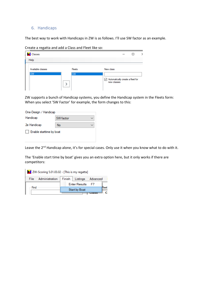#### <span id="page-9-0"></span>6. Handicaps

The best way to work with Handicaps in ZW is as follows. I'll use SW factor as an example.

Create a regatta and add a Class and Fleet like so:

| Classes                        |                            |                                                                                   |  |  |
|--------------------------------|----------------------------|-----------------------------------------------------------------------------------|--|--|
| Help                           |                            |                                                                                   |  |  |
| Available classes<br><b>SW</b> | <b>Fleets</b><br><b>SW</b> | New class<br>$\sqrt{\phantom{a}}$ Automatically create a fleet for<br>new classes |  |  |

ZW supports a bunch of Handicap systems, you define the Handicap system in the Fleets form: When you select 'SW Factor' for example, the form changes to this:

| One-Design / Handicap    |           |  |
|--------------------------|-----------|--|
| Handicap                 | SW factor |  |
| 2e Handicap              | No        |  |
| Enable starttime by boat |           |  |

Leave the 2<sup>nd</sup> Handicap alone, it's for special cases. Only use it when you know what to do with it.

The 'Enable start time by boat' gives you an extra option here, but it only works if there are competitors:

| ZW-Scoring 5.01.03.02 - [This is my regatta] |                |        |                      |                   |  |  |  |  |
|----------------------------------------------|----------------|--------|----------------------|-------------------|--|--|--|--|
| File                                         | Administration | Finish |                      | Listings Advanced |  |  |  |  |
|                                              |                |        | <b>Enter Results</b> | - F7              |  |  |  |  |
| Find                                         |                |        | <b>Start by Boat</b> | leet              |  |  |  |  |
|                                              |                |        |                      |                   |  |  |  |  |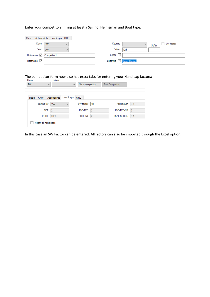Enter your competitors, filling at least a Sail no, Helmsman and Boat type.

| Crew |                        |           | Actionpoints   Handicaps   ORC |              |               |                         |        |           |
|------|------------------------|-----------|--------------------------------|--------------|---------------|-------------------------|--------|-----------|
|      | Class SW               |           |                                | $\checkmark$ | Country       | $\checkmark$            | Suffix | SW factor |
|      | Fleet                  | <b>SW</b> |                                |              | Sailno        | 123                     |        |           |
|      | Helmsman C Competitor1 |           |                                |              | E-mail $\vee$ |                         |        |           |
|      | Boatname $\sqrt{}$     |           |                                |              |               | Boattype 2 Laser Master |        |           |

# The competitor form now also has extra tabs for entering your Handicap factors:<br>Class Sailno

| <b>Basic</b> | Crew        | Actionpoints   | Handicaps    | <b>ORC</b>      |                |                   |                |
|--------------|-------------|----------------|--------------|-----------------|----------------|-------------------|----------------|
|              | Spinnaker   | Yes            | $\checkmark$ | SW factor       | 10             | Portsmouth        | 0.1            |
|              | <b>TCF</b>  | $\overline{2}$ |              | <b>IRC-TCC</b>  | $\overline{2}$ | <b>IRC-TCC-NS</b> | $\overline{2}$ |
|              | <b>PHRF</b> | 2000           |              | <b>PHRF</b> +cf | $\overline{2}$ | <b>ISAF SCHRS</b> | 0.1            |

In this case an SW Factor can be entered. All factors can also be imported through the Excel option.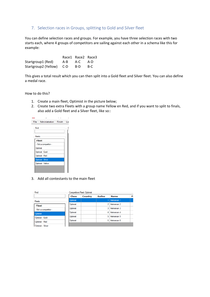## <span id="page-11-0"></span>7. Selection races in Groups, splitting to Gold and Silver fleet

You can define selection races and groups. For example, you have three selection races with two starts each, where 4 groups of competitors are sailing against each other in a schema like this for example:

|                          |     | Race1 Race2 Race3 |       |
|--------------------------|-----|-------------------|-------|
| Startgroup1 (Red)        | A-B | A-C A-D           |       |
| Startgroup2 (Yellow) C-D |     | B-D               | - B-C |

This gives a total result which you can then split into a Gold fleet and Silver fleet. You can also define a medal race.

How to do this?

- 1. Create a main fleet, Optimist in the picture below;
- 2. Create two extra Fleets with a group name Yellow en Red, and if you want to split to finals, also add a Gold fleet and a Silver fleet, like so::



3. Add all contestants to the main fleet

| Find                 |              | <b>Competitors Fleet: Optimist</b> |        |              |    |  |  |  |  |
|----------------------|--------------|------------------------------------|--------|--------------|----|--|--|--|--|
|                      | <b>Class</b> | <b>Country</b>                     | Sailno | <b>Name</b>  | Fi |  |  |  |  |
| <b>Fleets</b>        | Optimist     |                                    |        | 1 Helmsman 1 |    |  |  |  |  |
| Fleet                | Optimist     |                                    |        | 2 Helmsman 2 |    |  |  |  |  |
| - Not a competitor - | Optimist     |                                    |        | 3 Helmsman 3 |    |  |  |  |  |
| Optimist             | Optimist     |                                    |        | 4 Helmsman 4 |    |  |  |  |  |
| Optimist - Gold      | Optimist     |                                    |        | 5 Helmsman 5 |    |  |  |  |  |
| Optimist - Red       | Optimist     |                                    | 61     | Helmsman 6   |    |  |  |  |  |
| Ontimist - Silver    |              |                                    |        |              |    |  |  |  |  |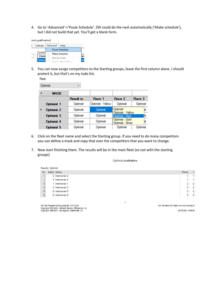4. Go to 'Advanced'->'Poule Schedule'. ZW could do the next automatically ('Make schedule'), but I did not build that yet. You'll get a blank form.

| imist qualifications] |  |
|-----------------------|--|
|-----------------------|--|

| Listings         | Advanced | Help                                             |
|------------------|----------|--------------------------------------------------|
|                  |          | Poule Schedule                                   |
| Competit         |          | Make schedule                                    |
| <b>Class</b>     |          | Split for finals                                 |
| <b>O</b> btimist |          | $O = \frac{1}{2}$ for $I = -N$ $A = -1$ $D = -1$ |

5. You can now assign competitors to the Starting groups, leave the first column alone. I should protect it, but that's on my todo list.

| Fleet |                   |                  |                                                  |                               |          |
|-------|-------------------|------------------|--------------------------------------------------|-------------------------------|----------|
|       | Optimist          | $\checkmark$     |                                                  |                               |          |
| ▶     | <b>MASK</b>       |                  |                                                  |                               |          |
|       |                   | <b>Result in</b> | Race 1                                           | Race 2                        | Race 3   |
|       | Optimist 1        | Optimist         | Optimist - Yellow                                | Optimist                      | Optimist |
| ▶     | <b>Optimist 2</b> | Optimist         | Optimist                                         | Optimist<br>Optimist - Yellow | kt       |
|       | Optimist 3        | Optimist         | Optimist                                         | Optimist - Red                | Ist      |
|       | <b>Optimist 4</b> | Optimist         | Optimist - Gold<br>Optimist<br>Optimist - Silver |                               | Ìзt      |
|       | Optimist 5        | Optimist         | Optimist                                         | Optimist                      | Optimist |

- 6. Click on the fleet name and select the Starting group. If you need to do many competitors you can define a mask and copy that over the competitors that you want to change.
- 7. Now start finishing them. The results will be in the main fleet (so not with the starting groups)

Optimist qualifications

|           | Results: Optimist |              |        |                         |
|-----------|-------------------|--------------|--------|-------------------------|
| <b>No</b> | Sailno Name       |              | Points | $\mathbf{1}$            |
|           |                   | 3 Helmsman 3 |        |                         |
|           |                   | 4 Helmsman 4 |        | 1.                      |
| 3         |                   | 1 Helmsman 1 | 2      | $\overline{2}$          |
| 3.        |                   | 2 Helmsman 2 | 2      | $\overline{2}$          |
| 5         |                   | 5 Helmsman 5 | 3      | $\overline{\mathbf{3}}$ |
| 5         |                   | 6 Helmsman 6 | 3      | $\overline{\mathbf{3}}$ |
|           |                   |              |        |                         |
|           |                   |              |        |                         |

ZW Sall Regatta Scoring program, 5.01.03.02<br>Copyright 2018-2021, Gerhard Bouma, Offingawier, NL<br>Copyright 1986-2017, Leo Eggink, Zoetermeer, NL

For Info about ZW https://www.zw-scoring.nl

08-06-2021 16:39:33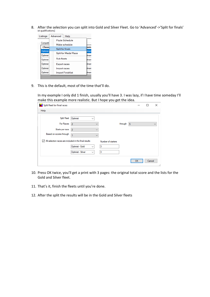8. After the selection you can split into Gold and Silver Fleet. Go to 'Advanced'->'Split for finals'<br>ist qualifications]



9. This is the default, most of the time that'll do.

In my example I only did 1 finish, usually you'll have 3. I was lazy, if I have time someday I'll make this example more realistic. But I hope you get the idea.

| Split fleet for final races                                                |                                  |                    |         |   |    |        | ×            |
|----------------------------------------------------------------------------|----------------------------------|--------------------|---------|---|----|--------|--------------|
| Help                                                                       |                                  |                    |         |   |    |        |              |
| Split Fleet                                                                | Optimist<br>$\checkmark$         |                    |         |   |    |        |              |
| For Races                                                                  | $\overline{2}$<br>$\checkmark$   |                    | through | 5 |    |        | $\checkmark$ |
| Starts per race                                                            | $\overline{2}$<br>$\checkmark$   |                    |         |   |    |        |              |
| Based on scores through                                                    | 1<br>$\checkmark$                |                    |         |   |    |        |              |
| $\sqrt{\phantom{a}}$ All selection races are included in the final results |                                  | Number of starters |         |   |    |        |              |
|                                                                            | Optimist - Gold<br>$\checkmark$  | 3                  |         |   |    |        |              |
|                                                                            | Optimist - Silver<br>$\check{~}$ | 3                  |         |   |    |        |              |
|                                                                            |                                  |                    |         |   | OK | Cancel |              |
|                                                                            |                                  |                    |         |   |    |        | $\cdot$      |

- 10. Press OK twice, you'll get a print with 3 pages: the original total score and the lists for the Gold and Silver fleet.
- 11. That's it, finish the fleets until you're done.
- 12. After the split the results will be in the Gold and Silver fleets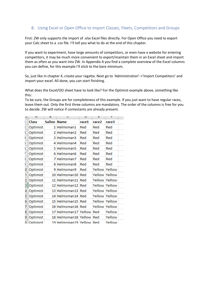## <span id="page-14-0"></span>8. Using Excel or Open Office to import Classes, Fleets, Competitors and Groups

First: ZW only supports the import of .xlsx Excel files directly. For Open Office you need to export your Calc sheet to a .csv file. I'll tell you what to do at the end of this chapter.

If you want to experiment, have large amounts of competitors, or even have a website for entering competitors, it may be much more convenient to export/maintain them in an Excel sheet and import them as often as you want into ZW. In Appendix A you find a complete overview of the Excel columns you can define, for this example I'll stick to the bare minimum.

So, just like in chapter 4, create your regatta. Next go to 'Administration'->'Import Competitors' and import your excel. All done, you can start finishing.

What does the Excel/OO sheet have to look like? For the Optimist example above, something like this:

To be sure, the Groups are for completeness of this example. If you just want to have regular races, leave them out. Only the first three columns are mandatory. The order of the columns is free for you to decide. ZW will notice if contestants are already present.

|   | А            | D           | U                        | υ     | c      | г             |  |
|---|--------------|-------------|--------------------------|-------|--------|---------------|--|
|   | <b>Class</b> | Sailno Name |                          | race1 | race2  | race3         |  |
|   | Optimist     |             | 1 Helmsman1              | Red   | Red    | Red           |  |
|   | Optimist     |             | 2 Helmsman2              | Red   | Red    | Red           |  |
|   | Optimist     |             | 3 Helmsman3              | Red   | Red    | Red           |  |
| s | Optimist     |             | 4 Helmsman4              | Red   | Red    | Red           |  |
| ١ | Optimist     |             | 5 Helmsman5              | Red   | Red    | Red           |  |
|   | Optimist     |             | 6 Helmsman6              | Red   | Red    | Red           |  |
| š | Optimist     |             | 7 Helmsman7              | Red   | Red    | Red           |  |
|   | Optimist     |             | 8 Helmsman8              | Red   | Red    | Red           |  |
| 0 | Optimist     |             | 9 Helmsman9              | Red   | Yellow | Yellow        |  |
|   | Optimist     |             | 10 Helmsman10            | Red   |        | Yellow Yellow |  |
| 2 | Optimist     |             | 11 Helmsman11            | Red   |        | Yellow Yellow |  |
| 3 | Optimist     |             | 12 Helmsman12            | Red   |        | Yellow Yellow |  |
| 4 | Optimist     |             | 13 Helmsman13            | Red   |        | Yellow Yellow |  |
| 5 | Optimist     |             | 14 Helmsman14            | Red   |        | Yellow Yellow |  |
| 6 | Optimist     |             | 15 Helmsman15            | Red   |        | Yellow Yellow |  |
| 7 | Optimist     |             | 16 Helmsman16            | Red   |        | Yellow Yellow |  |
| 8 | Optimist     |             | 17 Helmsman17 Yellow     |       | Red    | Yellow        |  |
| 9 | Optimist     |             | 18 Helmsman18 Yellow Red |       |        | Yellow        |  |
|   | 0 Optimist   |             | 19 Helmsman19 Yellow Red |       |        | Yellow        |  |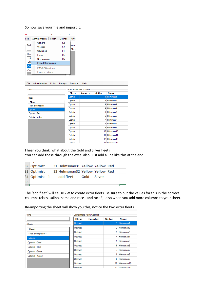#### So now save your file and import it:

| File | Administration            | Finish | Listings       | Adva |
|------|---------------------------|--------|----------------|------|
|      | General                   |        | F <sub>2</sub> |      |
| Find | Classes                   |        | F <sub>3</sub> | ompe |
|      | Countries                 |        | F4             | Clas |
| Flee | <b>Fleets</b>             |        | F <sub>5</sub> |      |
| Fl   | Competitors               |        | F6             |      |
| - N  | <b>Import Competitors</b> |        |                |      |
| Clas | <b>IMS/ORC</b> options    |        |                | ь    |
| Clas | Licence options           |        |                |      |
|      |                           |        |                |      |

| File          | Administration       | Finish | Listings | Advanced                           | Help    |                |                       |
|---------------|----------------------|--------|----------|------------------------------------|---------|----------------|-----------------------|
| Find          |                      |        |          | <b>Competitors Fleet: Optimist</b> |         |                |                       |
|               |                      |        |          | Class                              | Country | Sailno         | <b>Name</b>           |
| <b>Fleets</b> |                      |        |          | Optimist                           |         |                | 1 Helmsman1           |
|               | <b>Fleet</b>         |        |          | Optimist                           |         |                | 2 Helmsman2           |
|               | - Not a competitor - |        |          | Optimist                           |         |                | 3 Helmsman3           |
|               | Optimist             |        |          | Optimist                           |         |                | 4 Helmsman4           |
|               | Optimist - Red       |        |          | Optimist                           |         | 51             | Helmsman5             |
|               | Optimist - Yellow    |        |          | Optimist                           |         | 6              | Helmsman6             |
|               |                      |        |          | Optimist                           |         |                | 7 Helmsman7           |
|               |                      |        |          | Optimist                           |         | 8 <sup>1</sup> | Helmsman <sub>8</sub> |
|               |                      |        |          | Optimist                           |         | 9              | Helmsman9             |
|               |                      |        |          | Optimist                           |         |                | 10 Helmsman10         |
|               |                      |        |          | Optimist                           |         |                | 11 Helmsman 11        |
|               |                      |        |          | Optimist                           |         |                | 12 Helmsman 12        |
|               |                      |        |          | Ontimiet                           |         |                | $12$ Helmeman $12$    |

I hear you think, what about the Gold and Silver fleet? You can add these through the excel also, just add a line like this at the end:

|    | 32   Optimist  | 31 Helmsman31 Yellow Yellow Red |      |        |  |
|----|----------------|---------------------------------|------|--------|--|
|    | 33   Optimist  | 32 Helmsman32 Yellow Yellow Red |      |        |  |
|    | 34 Optimist -1 | add fleet                       | Gold | Silver |  |
| 35 |                |                                 |      |        |  |
|    |                |                                 |      |        |  |

The 'add fleet' will cause ZW to create extra fleets. Be sure to put the values for this in the correct columns (class, sailno, name and race1 and race2), also when you add more columns to your sheet.

Re-importing the sheet will show you this, notice the two extra fleets.

| Find                 |                  | <b>Competitors Fleet: Optimist</b> |        |                             |
|----------------------|------------------|------------------------------------|--------|-----------------------------|
|                      | <b>Class</b>     | Country                            | Sailno | <b>Name</b>                 |
| <b>Fleets</b>        | Optimist         |                                    |        | 1 Helmsman1                 |
| <b>Fleet</b>         | Optimist         |                                    | 2      | Helmsman <sub>2</sub>       |
| - Not a competitor - | Optimist         |                                    | 3      | Helmsman <sub>3</sub>       |
| Optimist             | Optimist         |                                    | 4      | Helmsman4                   |
| Optimist - Gold      | Optimist         |                                    | 5      | Helmsman <sub>5</sub>       |
| Optimist - Red       | Optimist         |                                    | 6      | Helmsman6                   |
| Optimist - Silver    | Optimist         |                                    |        | Helmsman <sub>7</sub>       |
| Optimist - Yellow    | Optimist         |                                    | 8      | Helmsman <sub>8</sub>       |
|                      | Optimist         |                                    | 9      | Helmsman9                   |
|                      | Optimist         |                                    | 10     | Helmsman10                  |
|                      | <b>Sales And</b> |                                    |        | 44   11   12   22   23   44 |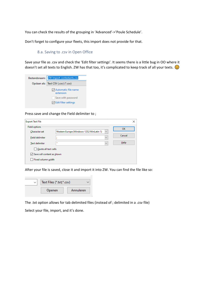You can check the results of the grouping in 'Advanced'->'Poule Schedule'.

<span id="page-16-0"></span>Don't forget to configure your fleets, this import does not provide for that.

#### 8.a. Saving to .csv in Open Office

Save your file as .csv and check the 'Edit filter settings'. It seems there is a little bug in OO where it doesn't set all texts to English. ZW has that too, it's complicated to keep track of all your texts.  $\odot$ 

| Bestandsnaam: ZW Import contestants.csv |
|-----------------------------------------|
| Opslaan als:   Text CSV (.csv) (*.csv)  |
| Automatic file name<br>extension        |
| Save with password                      |
| $\sqrt{}$ Edit filter settings          |

Press save and change the Field delimiter to ;

| <b>Export Text File</b>    |                                          |              | ×       |
|----------------------------|------------------------------------------|--------------|---------|
| <b>Field options</b>       |                                          |              | OK      |
| Character set              | Western Europe (Windows-1252/WinLatin 1) | $\checkmark$ |         |
| <b>Field delimiter</b>     | ٠<br>z                                   | $\checkmark$ | Cancel  |
| Text delimiter             | $\mathbf{u}$                             | $\checkmark$ | $He$ lp |
| Quote all text cells       |                                          |              |         |
| Save cell content as shown |                                          |              |         |
| Fixed column width         |                                          |              |         |

After your file is saved, close it and import it into ZW. You can find the file like so:



The .txt option allows for tab delimited files (instead of ; delimited in a .csv file)

Select your file, import, and it's done.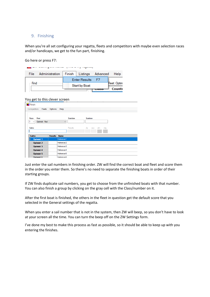#### <span id="page-17-0"></span>9. Finishing

When you're all set configuring your regatta, fleets and competitors with maybe even selection races and/or handicaps, we get to the fun part, finishing.

Go here or press F7:

| File | Administration | Finish Listings Advanced |      | Help         |
|------|----------------|--------------------------|------|--------------|
|      |                | <b>Enter Results</b>     | - F7 |              |
| Find |                | Start by Boat            |      | Fleet: Optim |
|      |                |                          | uma  | Countr       |

#### You get to this clever screen

| Finish                                           |                |                       |           |                   |  |
|--------------------------------------------------|----------------|-----------------------|-----------|-------------------|--|
| Competitors<br>Fleets                            | Options        | Help                  |           |                   |  |
|                                                  |                |                       |           |                   |  |
| Fleet<br>Race                                    |                |                       | Startdate | <b>Starttime</b>  |  |
| $\blacksquare$<br>Optimist - Red<br>$\checkmark$ |                | $\checkmark$          |           |                   |  |
| Sailno                                           |                |                       | Results   | zfp<br>rdg<br>oth |  |
|                                                  |                |                       |           | scp               |  |
|                                                  |                |                       |           |                   |  |
| <b>Sailno</b>                                    | <b>Results</b> | <b>Name</b>           |           |                   |  |
| ID<br><b>Optimist 1</b>                          |                | Helmsman1             |           |                   |  |
| <b>Optimist 2</b>                                |                | Helmsman <sub>2</sub> |           |                   |  |
| Optimist 3                                       |                | Helmsman3             |           |                   |  |
| <b>Optimist 4</b>                                |                | Helmsman4             |           |                   |  |
| Optimist 5                                       |                | Helmsman5             |           |                   |  |
| Ontimiet 6                                       |                | Helmsman6             |           |                   |  |

Just enter the sail numbers in finishing order. ZW will find the correct boat and fleet and score them in the order you enter them. So there's no need to separate the finishing boats in order of their starting groups.

If ZW finds duplicate sail numbers, you get to choose from the unfinished boats with that number. You can also finish a group by clicking on the gray cell with the Class/number on it.

After the first boat is finished, the others in the fleet in question get the default score that you selected in the General settings of the regatta.

When you enter a sail number that is not in the system, then ZW will beep, so you don't have to look at your screen all the time. You can turn the beep off on the ZW Settings form.

I've done my best to make this process as fast as possible, so it should be able to keep up with you entering the finishes.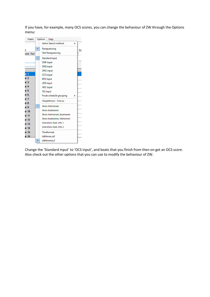If you have, for example, many OCS scores, you can change the behaviour of ZW through the Options menu:



Change the 'Standard input' to 'OCS input', and boats that you finish from then on get an OCS score. Also check out the other options that you can use to modify the behaviour of ZW.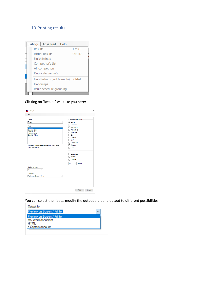## <span id="page-19-0"></span>10.Printing results



Clicking on 'Results' will take you here:

| Listings                                                                                                                                                                                                                |                                                                                                                                                                                                    |
|-------------------------------------------------------------------------------------------------------------------------------------------------------------------------------------------------------------------------|----------------------------------------------------------------------------------------------------------------------------------------------------------------------------------------------------|
| Help                                                                                                                                                                                                                    |                                                                                                                                                                                                    |
| Listing<br>Results<br>$\checkmark$<br>Fleet<br>Optimist<br>Optimist - Gold<br>Optimist - Red<br>Optimist - Silver<br>Optimist - Yellow<br>Select one or more fleets with the Click, Shft-Click or<br>Cntrl-Click method | On results and listings<br><b>∞</b> Sailno<br>$\vee$ Helmsman<br>$\Box$ Add, Info 1<br>Add. Info 2<br>Boatname<br>$\Box$ City<br>Country<br>$\neg$ M/F<br>Date of birth<br>Boattype<br>$\Box$ Club |
|                                                                                                                                                                                                                         | $\Box$ Landscape<br>$\Box$ interlined<br>Compact<br>7.5<br>Points<br>$\checkmark$                                                                                                                  |
| Number of boats                                                                                                                                                                                                         |                                                                                                                                                                                                    |
| -all-<br>$\checkmark$                                                                                                                                                                                                   |                                                                                                                                                                                                    |
| Output to<br>Preview on Screen / Printer                                                                                                                                                                                |                                                                                                                                                                                                    |
|                                                                                                                                                                                                                         |                                                                                                                                                                                                    |
|                                                                                                                                                                                                                         | <b>Print</b><br>Cancel                                                                                                                                                                             |

You can select the fleets, modify the output a bit and output to different possibilities

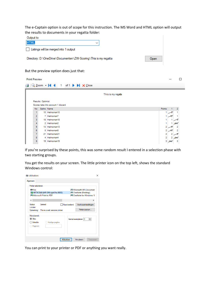The e-Captain option is out of scope for this instruction. The MS Word and HTML option will output the results to documents in your regatta folder:

| Output to                                                       |             |      |
|-----------------------------------------------------------------|-------------|------|
| <b>HTML</b>                                                     | $\check{ }$ |      |
| Listings will be merged into 1 output                           |             |      |
| Directory: D:\OneDrive\Documenten\ZW-Scoring\This is my regatta |             | Open |

#### But the preview option does just that:

|           |                   | 4 Q Zoom +   4 4 1 of 1 ▶ ▶ X Close |        |     |
|-----------|-------------------|-------------------------------------|--------|-----|
|           |                   | This is my regatta                  |        |     |
|           | Results: Optimist |                                     |        |     |
|           |                   | Scores take into account 1 discard  |        |     |
| <b>No</b> | Sailno Name       |                                     | Points |     |
|           |                   | 10 Helmsman10                       |        |     |
|           |                   | 7 Helmsman7                         |        |     |
| 2         |                   |                                     |        |     |
| 3         |                   | 18 Helmsman18                       |        |     |
|           |                   | 2 Helmsman2                         |        | das |
| 5         |                   | 13 Helmsman13                       | 2      |     |
| 6         |                   | 8 Helmsman8                         | 2      |     |
|           |                   | 21 Helmsman21                       | 2      |     |

If you're surprised by these points, this was some random result I entered in a selection phase with two starting groups.

You get the results on your screen. The little printer icon on the top left, shows the standard Windows control:

| (第4) Afdrukken                                                                                                              | ×                                                                                                     |
|-----------------------------------------------------------------------------------------------------------------------------|-------------------------------------------------------------------------------------------------------|
| Algemeen<br>Printer selecteren<br><b>EN Fax</b><br>Fo HP79CB49 (HP Officejet Pro 8620)<br><b>I-I Microsoft Print to PDF</b> | <b>El Microsoft XPS Document</b><br><b>E-TOneNote (Desktop)</b><br><b>E-10</b> OneNote for Windows 10 |
| $\epsilon$<br>Gereed<br>Status:<br>Locatie:<br>Opmerking: This is a web services printer                                    | ⋗<br>Naar bestand<br>Voorkeursinstellingen<br>Printer zoeken                                          |
| <b>Afdrukhereik</b><br>◯ Alles<br>$\bigcirc$ Selectie<br>Huidige pagina<br>O Pagina's:                                      | ÷۱<br>Aantal exemplaren: 1                                                                            |
|                                                                                                                             | Afdrukken<br>Annuleren<br>Toepassen                                                                   |

You can print to your printer or PDF or anything you want really.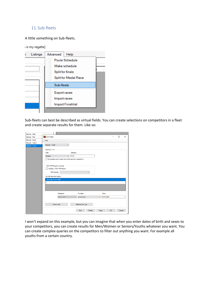#### <span id="page-21-0"></span>11. Sub-fleets

A little something on Sub-fleets.

| ; is my regatta] |          |                                                                                    |  |  |
|------------------|----------|------------------------------------------------------------------------------------|--|--|
|                  | Listings | Advanced<br>Help                                                                   |  |  |
|                  |          | Poule Schedule<br>Make schedule<br>Split for finals<br><b>Split for Medal Race</b> |  |  |
|                  |          | Sub-fleets                                                                         |  |  |
|                  |          | <b>Export races</b><br>Import races<br>Import Finishlist                           |  |  |
|                  |          |                                                                                    |  |  |

Sub-fleets can best be described as virtual fields. You can create selections on competitors in a fleet and create separate results for them. Like so:

| Optimist - Gold   |                                                           |                  |                            |                    |
|-------------------|-----------------------------------------------------------|------------------|----------------------------|--------------------|
| Optimist - Red    | Sub-fleets                                                |                  |                            | $\times$<br>$\Box$ |
| Optimist - Silver | Help                                                      |                  |                            |                    |
| Optimist - Yellow |                                                           |                  |                            |                    |
| Optimist / Youth  | Optimist / Youth<br>$\vee$                                |                  |                            |                    |
|                   | Sub-fleet 1 of 1                                          |                  |                            |                    |
|                   | Fleet                                                     | Selection        |                            |                    |
|                   | Optimist<br>$\checkmark$                                  | Youth            |                            |                    |
|                   |                                                           |                  |                            |                    |
|                   | Recalculate points, base only on the selected competitors |                  |                            |                    |
|                   |                                                           |                  |                            |                    |
|                   | ISAF XRR Regatta reporting                                |                  |                            |                    |
|                   | Include in ISAF XRR Export                                |                  |                            |                    |
|                   | <b>XRR</b> Gender                                         |                  |                            |                    |
|                   | List with selection criteria                              |                  |                            |                    |
|                   |                                                           |                  |                            |                    |
|                   | Bom after 01-01-2005                                      |                  |                            |                    |
|                   |                                                           |                  |                            |                    |
|                   |                                                           |                  |                            |                    |
|                   |                                                           |                  |                            |                    |
|                   |                                                           |                  |                            |                    |
|                   |                                                           |                  |                            |                    |
|                   | Parameter                                                 | Condition        | Value                      |                    |
|                   | Date of birth                                             | is more than     | 01-01-2005<br>$\checkmark$ |                    |
|                   |                                                           |                  |                            |                    |
|                   | Save in List                                              | Remove from List |                            |                    |
|                   |                                                           |                  |                            |                    |

I won't expand on this example, but you can imagine that when you enter dates of birth and sexes to your competitors, you can create results for Men/Women or Seniors/Youths whatever you want. You can create complex queries on the competitors to filter out anything you want. For example all youths from a certain country.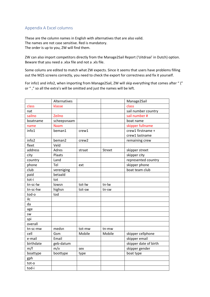## <span id="page-22-0"></span>Appendix A Excel columns

These are the column names in English with alternatives that are also valid. The names are not case sensitive. Red is mandatory. The order is up to you, ZW will find them.

ZW can also import competitors directly from the Manage2Sail Report ('Uitdraai' in Dutch) option. Beware that you need a .xlsx file and not a .xls file.

Some colums are edited to match what ZW expects. Since it seems that users have problems filling out the M2S screens correctly, you need to check the export for correctness and fix it yourself.

For info1 and info2, when importing from Manage2Sail, ZW will skip everything that comes after " (" or " ," so all the extra's will be omitted and just the names will be left.

|                   | Alternatives |        |        | Manage2Sail           |
|-------------------|--------------|--------|--------|-----------------------|
| class             | klasse       |        |        | class                 |
| nat               |              |        |        | sail number country   |
| sailno            | Zeilno       |        |        | sail number #         |
| boatname          | scheepsnaam  |        |        | boat name             |
| name              | <b>Naam</b>  |        |        | skipper fullname      |
| info1             | beman1       | crew1  |        | crew1 firstname +     |
|                   |              |        |        | crew1 lastname        |
| info <sub>2</sub> | beman2       | crew2  |        | remaining crew        |
| fleet             | Veld         |        |        |                       |
| address           | Adres        | straat | Street | skipper street        |
| city              | Plaats       |        |        | skipper city          |
| country           | Land         |        |        | represented country   |
| phone             | Tel          | ext    |        | skipper phone         |
| club              | vereniging   |        |        | boat team club        |
| paid              | betaald      |        |        |                       |
| tot-i             | tot          |        |        |                       |
| tn-sc-lw          | lowsn        | tot-lw | tn-lw  |                       |
| tn-sc-hw          | highsn       | tot-sw | tn-sw  |                       |
| tod-o             | tod          |        |        |                       |
| ilc               |              |        |        |                       |
| da                |              |        |        |                       |
| age               |              |        |        |                       |
| <b>SW</b>         |              |        |        |                       |
| spi               |              |        |        |                       |
| overall           |              |        |        |                       |
| tn-sc-mw          | medsn        | tot-mw | tn-mw  |                       |
| cell              | Gsm          | Mobile | Mobile | skipper cellphone     |
| e-mail            | Email        |        |        | skipper email         |
| birthdate         | geb-datum    |        |        | skipper date of birth |
| m/f               | m/v          | sex    |        | skipper gender        |
| boattype          | boottype     | type   |        | boat type             |
| gph               |              |        |        |                       |
| tot-o             |              |        |        |                       |
| tod-i             |              |        |        |                       |